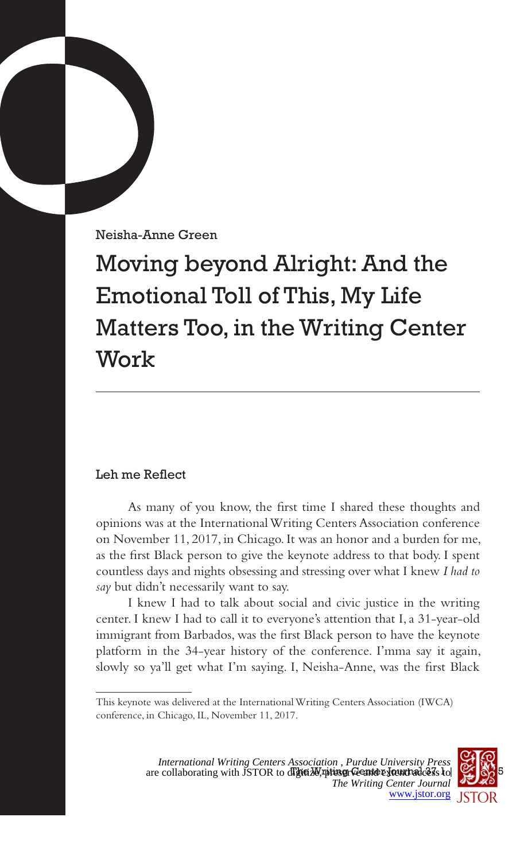Neisha-Anne Green

Moving beyond Alright: And the Emotional Toll of This, My Life Matters Too, in the Writing Center Work

# Leh me Reflect

As many of you know, the first time I shared these thoughts and opinions was at the International Writing Centers Association conference on November 11, 2017, in Chicago. It was an honor and a burden for me, as the first Black person to give the keynote address to that body. I spent countless days and nights obsessing and stressing over what I knew *I had to say* but didn't necessarily want to say.

I knew I had to talk about social and civic justice in the writing center. I knew I had to call it to everyone's attention that I, a 31-year-old immigrant from Barbados, was the first Black person to have the keynote platform in the 34-year history of the conference. I'mma say it again, slowly so ya'll get what I'm saying. I, Neisha-Anne, was the first Black

This keynote was delivered at the International Writing Centers Association (IWCA) conference, in Chicago, IL, November 11, 2017.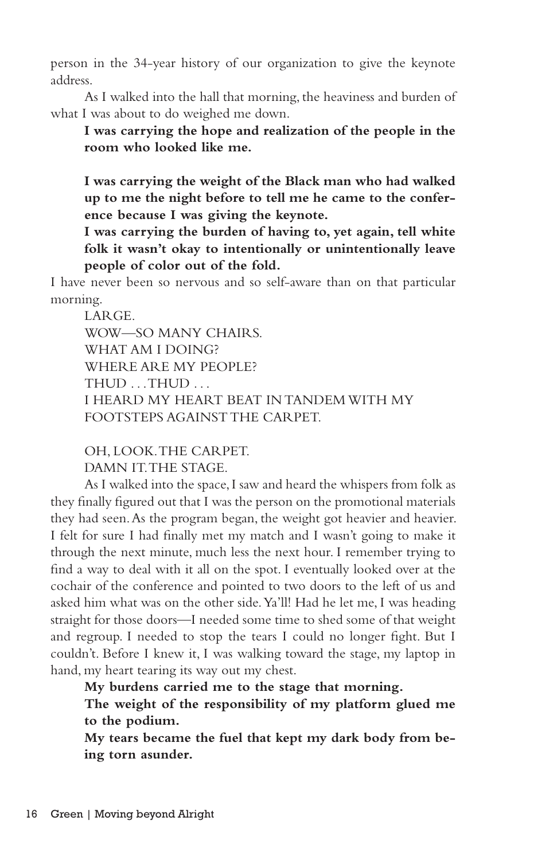person in the 34-year history of our organization to give the keynote address.

As I walked into the hall that morning, the heaviness and burden of what I was about to do weighed me down.

**I was carrying the hope and realization of the people in the room who looked like me.**

**I was carrying the weight of the Black man who had walked up to me the night before to tell me he came to the conference because I was giving the keynote.**

**I was carrying the burden of having to, yet again, tell white folk it wasn't okay to intentionally or unintentionally leave people of color out of the fold.**

I have never been so nervous and so self-aware than on that particular morning.

LARGE. WOW—SO MANY CHAIRS. WHAT AM I DOING? WHERE ARE MY PEOPLE? THUD . . . THUD . . . I HEARD MY HEART BEAT IN TANDEM WITH MY FOOTSTEPS AGAINST THE CARPET.

OH, LOOK. THE CARPET. DAMN IT. THE STAGE.

As I walked into the space, I saw and heard the whispers from folk as they finally figured out that I was the person on the promotional materials they had seen. As the program began, the weight got heavier and heavier. I felt for sure I had finally met my match and I wasn't going to make it through the next minute, much less the next hour. I remember trying to find a way to deal with it all on the spot. I eventually looked over at the cochair of the conference and pointed to two doors to the left of us and asked him what was on the other side. Ya'll! Had he let me, I was heading straight for those doors—I needed some time to shed some of that weight and regroup. I needed to stop the tears I could no longer fight. But I couldn't. Before I knew it, I was walking toward the stage, my laptop in hand, my heart tearing its way out my chest.

**My burdens carried me to the stage that morning.**

**The weight of the responsibility of my platform glued me to the podium.**

**My tears became the fuel that kept my dark body from being torn asunder.**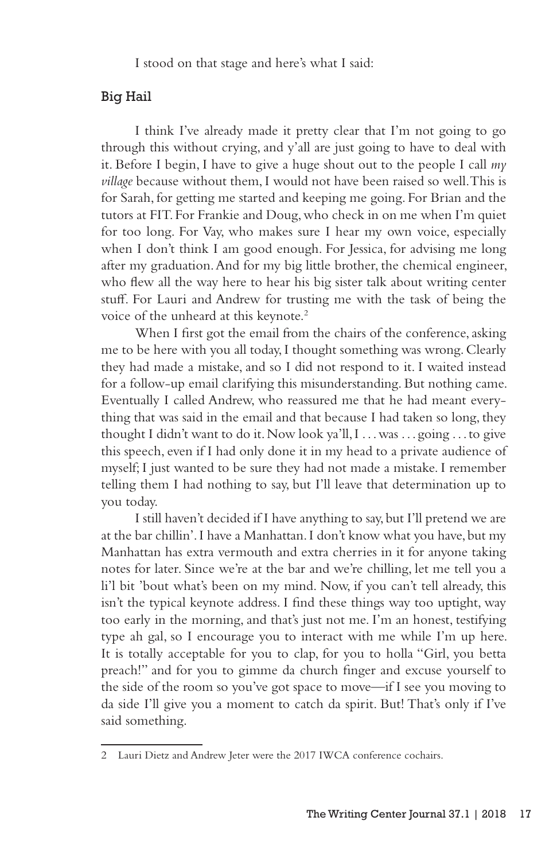I stood on that stage and here's what I said:

### Big Hail

I think I've already made it pretty clear that I'm not going to go through this without crying, and y'all are just going to have to deal with it. Before I begin, I have to give a huge shout out to the people I call *my village* because without them, I would not have been raised so well. This is for Sarah, for getting me started and keeping me going. For Brian and the tutors at FIT. For Frankie and Doug, who check in on me when I'm quiet for too long. For Vay, who makes sure I hear my own voice, especially when I don't think I am good enough. For Jessica, for advising me long after my graduation. And for my big little brother, the chemical engineer, who flew all the way here to hear his big sister talk about writing center stuff. For Lauri and Andrew for trusting me with the task of being the voice of the unheard at this keynote.<sup>2</sup>

When I first got the email from the chairs of the conference, asking me to be here with you all today, I thought something was wrong. Clearly they had made a mistake, and so I did not respond to it. I waited instead for a follow-up email clarifying this misunderstanding. But nothing came. Eventually I called Andrew, who reassured me that he had meant everything that was said in the email and that because I had taken so long, they thought I didn't want to do it. Now look ya'll, I . . . was . . . going . . . to give this speech, even if I had only done it in my head to a private audience of myself; I just wanted to be sure they had not made a mistake. I remember telling them I had nothing to say, but I'll leave that determination up to you today.

I still haven't decided if I have anything to say, but I'll pretend we are at the bar chillin'. I have a Manhattan. I don't know what you have, but my Manhattan has extra vermouth and extra cherries in it for anyone taking notes for later. Since we're at the bar and we're chilling, let me tell you a li'l bit 'bout what's been on my mind. Now, if you can't tell already, this isn't the typical keynote address. I find these things way too uptight, way too early in the morning, and that's just not me. I'm an honest, testifying type ah gal, so I encourage you to interact with me while I'm up here. It is totally acceptable for you to clap, for you to holla "Girl, you betta preach!" and for you to gimme da church finger and excuse yourself to the side of the room so you've got space to move—if I see you moving to da side I'll give you a moment to catch da spirit. But! That's only if I've said something.

<sup>2</sup> Lauri Dietz and Andrew Jeter were the 2017 IWCA conference cochairs.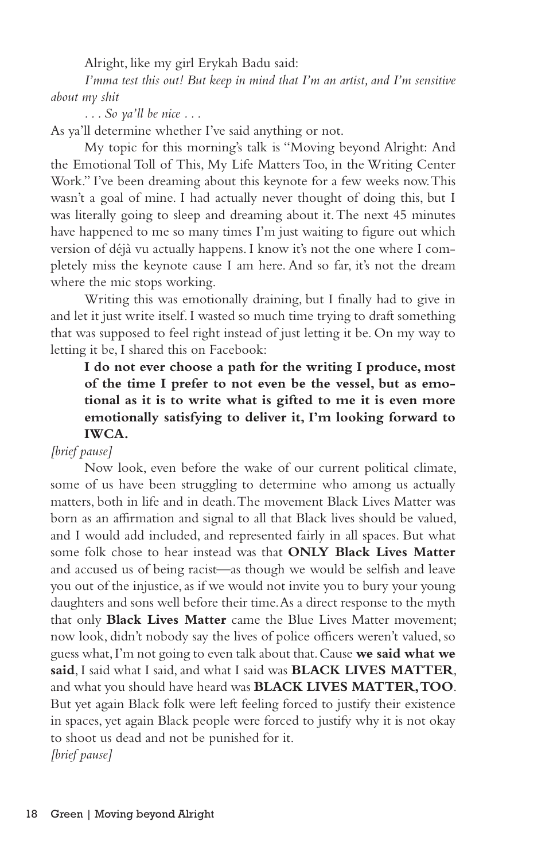Alright, like my girl Erykah Badu said:

*I'mma test this out! But keep in mind that I'm an artist, and I'm sensitive about my shit*

*. . . So ya'll be nice . . .*

As ya'll determine whether I've said anything or not.

My topic for this morning's talk is "Moving beyond Alright: And the Emotional Toll of This, My Life Matters Too, in the Writing Center Work." I've been dreaming about this keynote for a few weeks now. This wasn't a goal of mine. I had actually never thought of doing this, but I was literally going to sleep and dreaming about it. The next 45 minutes have happened to me so many times I'm just waiting to figure out which version of déjà vu actually happens. I know it's not the one where I completely miss the keynote cause I am here. And so far, it's not the dream where the mic stops working.

Writing this was emotionally draining, but I finally had to give in and let it just write itself. I wasted so much time trying to draft something that was supposed to feel right instead of just letting it be. On my way to letting it be, I shared this on Facebook:

# **I do not ever choose a path for the writing I produce, most of the time I prefer to not even be the vessel, but as emotional as it is to write what is gifted to me it is even more emotionally satisfying to deliver it, I'm looking forward to IWCA.**

### *[brief pause]*

Now look, even before the wake of our current political climate, some of us have been struggling to determine who among us actually matters, both in life and in death. The movement Black Lives Matter was born as an affirmation and signal to all that Black lives should be valued, and I would add included, and represented fairly in all spaces. But what some folk chose to hear instead was that **ONLY Black Lives Matter** and accused us of being racist—as though we would be selfish and leave you out of the injustice, as if we would not invite you to bury your young daughters and sons well before their time. As a direct response to the myth that only **Black Lives Matter** came the Blue Lives Matter movement; now look, didn't nobody say the lives of police officers weren't valued, so guess what, I'm not going to even talk about that. Cause **we said what we said**, I said what I said, and what I said was **BLACK LIVES MATTER**, and what you should have heard was **BLACK LIVES MATTER, TOO**. But yet again Black folk were left feeling forced to justify their existence in spaces, yet again Black people were forced to justify why it is not okay to shoot us dead and not be punished for it. *[brief pause]*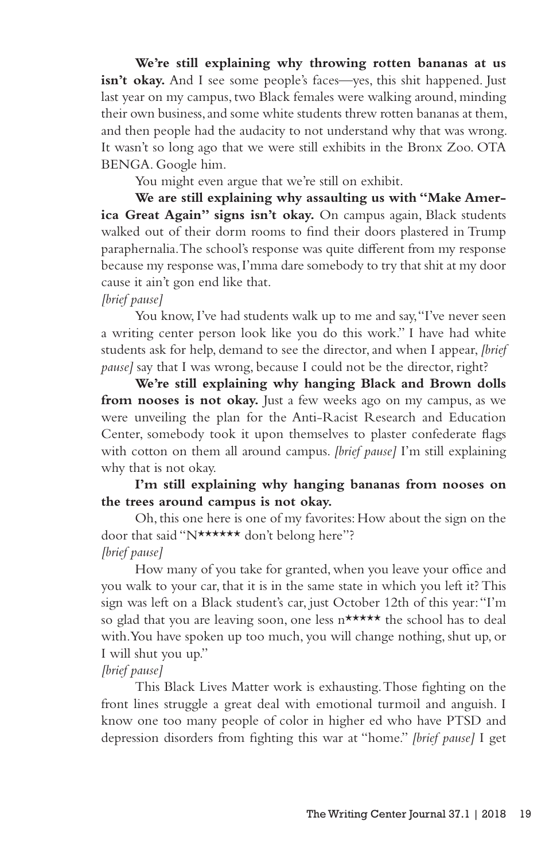**We're still explaining why throwing rotten bananas at us isn't okay.** And I see some people's faces—yes, this shit happened. Just last year on my campus, two Black females were walking around, minding their own business, and some white students threw rotten bananas at them, and then people had the audacity to not understand why that was wrong. It wasn't so long ago that we were still exhibits in the Bronx Zoo. OTA BENGA. Google him.

You might even argue that we're still on exhibit.

**We are still explaining why assaulting us with "Make Amer**ica Great Again" signs isn't okay. On campus again, Black students walked out of their dorm rooms to find their doors plastered in Trump paraphernalia. The school's response was quite different from my response because my response was, I'mma dare somebody to try that shit at my door cause it ain't gon end like that.

### *[brief pause]*

You know, I've had students walk up to me and say, "I've never seen a writing center person look like you do this work." I have had white students ask for help, demand to see the director, and when I appear, *[brief pause]* say that I was wrong, because I could not be the director, right?

**We're still explaining why hanging Black and Brown dolls**  from nooses is not okay. Just a few weeks ago on my campus, as we were unveiling the plan for the Anti-Racist Research and Education Center, somebody took it upon themselves to plaster confederate flags with cotton on them all around campus. *[brief pause]* I'm still explaining why that is not okay.

## **I'm still explaining why hanging bananas from nooses on the trees around campus is not okay.**

Oh, this one here is one of my favorites: How about the sign on the door that said "N\*\*\*\*\*\* don't belong here"? *[brief pause]*

How many of you take for granted, when you leave your office and you walk to your car, that it is in the same state in which you left it? This sign was left on a Black student's car, just October 12th of this year: "I'm so glad that you are leaving soon, one less n\*\*\*\*\* the school has to deal with. You have spoken up too much, you will change nothing, shut up, or I will shut you up."

### *[brief pause]*

This Black Lives Matter work is exhausting. Those fighting on the front lines struggle a great deal with emotional turmoil and anguish. I know one too many people of color in higher ed who have PTSD and depression disorders from fighting this war at "home." *[brief pause]* I get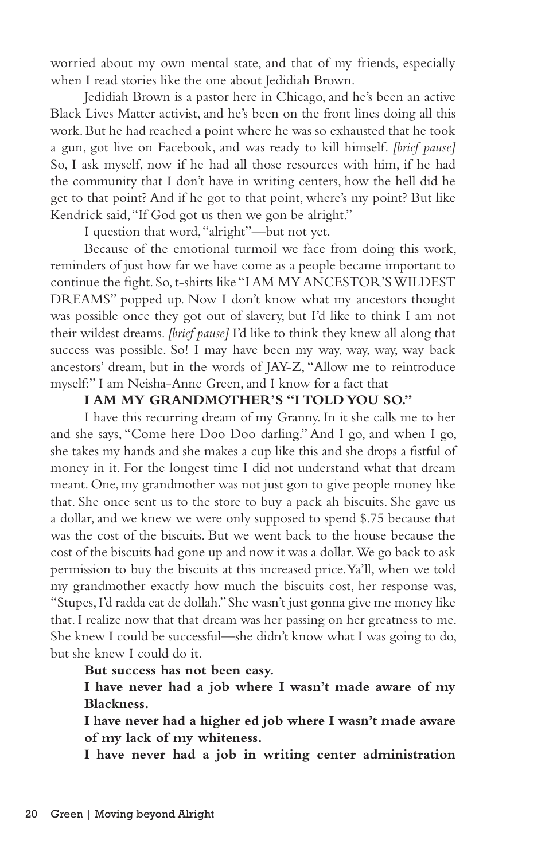worried about my own mental state, and that of my friends, especially when I read stories like the one about Jedidiah Brown.

Jedidiah Brown is a pastor here in Chicago, and he's been an active Black Lives Matter activist, and he's been on the front lines doing all this work. But he had reached a point where he was so exhausted that he took a gun, got live on Facebook, and was ready to kill himself. *[brief pause]* So, I ask myself, now if he had all those resources with him, if he had the community that I don't have in writing centers, how the hell did he get to that point? And if he got to that point, where's my point? But like Kendrick said, "If God got us then we gon be alright."

I question that word, "alright"—but not yet.

Because of the emotional turmoil we face from doing this work, reminders of just how far we have come as a people became important to continue the fight. So, t-shirts like "I AM MY ANCESTOR'S WILDEST DREAMS" popped up. Now I don't know what my ancestors thought was possible once they got out of slavery, but I'd like to think I am not their wildest dreams. *[brief pause]* I'd like to think they knew all along that success was possible. So! I may have been my way, way, way, way back ancestors' dream, but in the words of JAY-Z, "Allow me to reintroduce myself:" I am Neisha-Anne Green, and I know for a fact that

### **I AM MY GRANDMOTHER'S "I TOLD YOU SO."**

I have this recurring dream of my Granny. In it she calls me to her and she says, "Come here Doo Doo darling." And I go, and when I go, she takes my hands and she makes a cup like this and she drops a fistful of money in it. For the longest time I did not understand what that dream meant. One, my grandmother was not just gon to give people money like that. She once sent us to the store to buy a pack ah biscuits. She gave us a dollar, and we knew we were only supposed to spend \$.75 because that was the cost of the biscuits. But we went back to the house because the cost of the biscuits had gone up and now it was a dollar. We go back to ask permission to buy the biscuits at this increased price. Ya'll, when we told my grandmother exactly how much the biscuits cost, her response was, "Stupes, I'd radda eat de dollah." She wasn't just gonna give me money like that. I realize now that that dream was her passing on her greatness to me. She knew I could be successful—she didn't know what I was going to do, but she knew I could do it.

#### **But success has not been easy.**

**I have never had a job where I wasn't made aware of my Blackness.**

**I have never had a higher ed job where I wasn't made aware of my lack of my whiteness.**

**I have never had a job in writing center administration**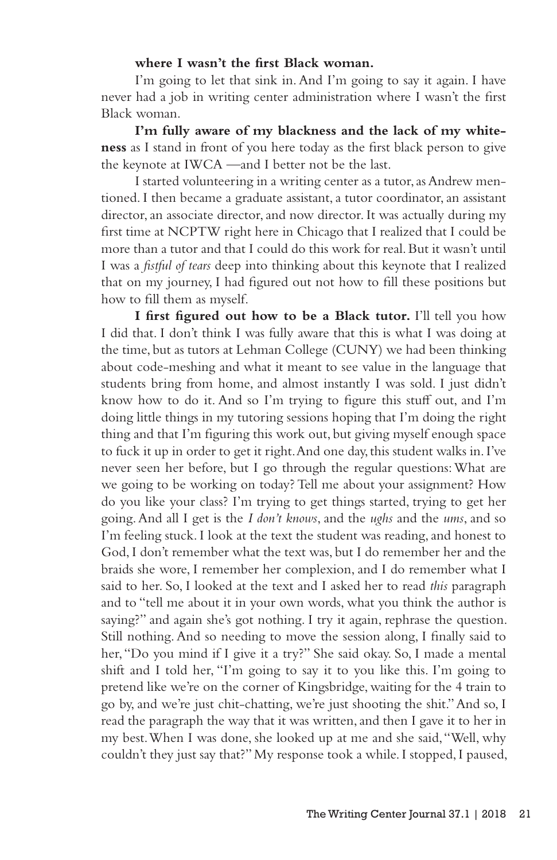#### **where I wasn't the first Black woman.**

I'm going to let that sink in. And I'm going to say it again. I have never had a job in writing center administration where I wasn't the first Black woman.

**I'm fully aware of my blackness and the lack of my whiteness** as I stand in front of you here today as the first black person to give the keynote at IWCA —and I better not be the last.

I started volunteering in a writing center as a tutor, as Andrew mentioned. I then became a graduate assistant, a tutor coordinator, an assistant director, an associate director, and now director. It was actually during my first time at NCPTW right here in Chicago that I realized that I could be more than a tutor and that I could do this work for real. But it wasn't until I was a *fistful of tears* deep into thinking about this keynote that I realized that on my journey, I had figured out not how to fill these positions but how to fill them as myself.

**I first figured out how to be a Black tutor.** I'll tell you how I did that. I don't think I was fully aware that this is what I was doing at the time, but as tutors at Lehman College (CUNY) we had been thinking about code-meshing and what it meant to see value in the language that students bring from home, and almost instantly I was sold. I just didn't know how to do it. And so I'm trying to figure this stuff out, and I'm doing little things in my tutoring sessions hoping that I'm doing the right thing and that I'm figuring this work out, but giving myself enough space to fuck it up in order to get it right. And one day, this student walks in. I've never seen her before, but I go through the regular questions: What are we going to be working on today? Tell me about your assignment? How do you like your class? I'm trying to get things started, trying to get her going. And all I get is the *I don't knows*, and the *ughs* and the *ums*, and so I'm feeling stuck. I look at the text the student was reading, and honest to God, I don't remember what the text was, but I do remember her and the braids she wore, I remember her complexion, and I do remember what I said to her. So, I looked at the text and I asked her to read *this* paragraph and to "tell me about it in your own words, what you think the author is saying?" and again she's got nothing. I try it again, rephrase the question. Still nothing. And so needing to move the session along, I finally said to her, "Do you mind if I give it a try?" She said okay. So, I made a mental shift and I told her, "I'm going to say it to you like this. I'm going to pretend like we're on the corner of Kingsbridge, waiting for the 4 train to go by, and we're just chit-chatting, we're just shooting the shit." And so, I read the paragraph the way that it was written, and then I gave it to her in my best. When I was done, she looked up at me and she said, "Well, why couldn't they just say that?" My response took a while. I stopped, I paused,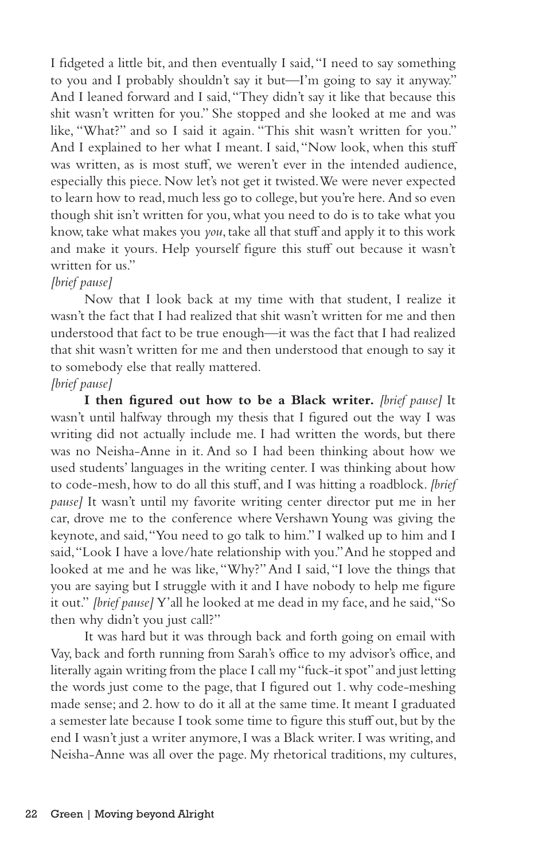I fidgeted a little bit, and then eventually I said, "I need to say something to you and I probably shouldn't say it but—I'm going to say it anyway." And I leaned forward and I said, "They didn't say it like that because this shit wasn't written for you." She stopped and she looked at me and was like, "What?" and so I said it again. "This shit wasn't written for you." And I explained to her what I meant. I said, "Now look, when this stuff was written, as is most stuff, we weren't ever in the intended audience, especially this piece. Now let's not get it twisted. We were never expected to learn how to read, much less go to college, but you're here. And so even though shit isn't written for you, what you need to do is to take what you know, take what makes you *you*, take all that stuff and apply it to this work and make it yours. Help yourself figure this stuff out because it wasn't written for us."

### *[brief pause]*

Now that I look back at my time with that student, I realize it wasn't the fact that I had realized that shit wasn't written for me and then understood that fact to be true enough—it was the fact that I had realized that shit wasn't written for me and then understood that enough to say it to somebody else that really mattered.

## *[brief pause]*

**I then figured out how to be a Black writer.** *[brief pause]* It wasn't until halfway through my thesis that I figured out the way I was writing did not actually include me. I had written the words, but there was no Neisha-Anne in it. And so I had been thinking about how we used students' languages in the writing center. I was thinking about how to code-mesh, how to do all this stuff, and I was hitting a roadblock. *[brief pause]* It wasn't until my favorite writing center director put me in her car, drove me to the conference where Vershawn Young was giving the keynote, and said, "You need to go talk to him." I walked up to him and I said, "Look I have a love/hate relationship with you." And he stopped and looked at me and he was like, "Why?" And I said, "I love the things that you are saying but I struggle with it and I have nobody to help me figure it out." *[brief pause]* Y'all he looked at me dead in my face, and he said, "So then why didn't you just call?"

It was hard but it was through back and forth going on email with Vay, back and forth running from Sarah's office to my advisor's office, and literally again writing from the place I call my "fuck-it spot" and just letting the words just come to the page, that I figured out 1. why code-meshing made sense; and 2. how to do it all at the same time. It meant I graduated a semester late because I took some time to figure this stuff out, but by the end I wasn't just a writer anymore, I was a Black writer. I was writing, and Neisha-Anne was all over the page. My rhetorical traditions, my cultures,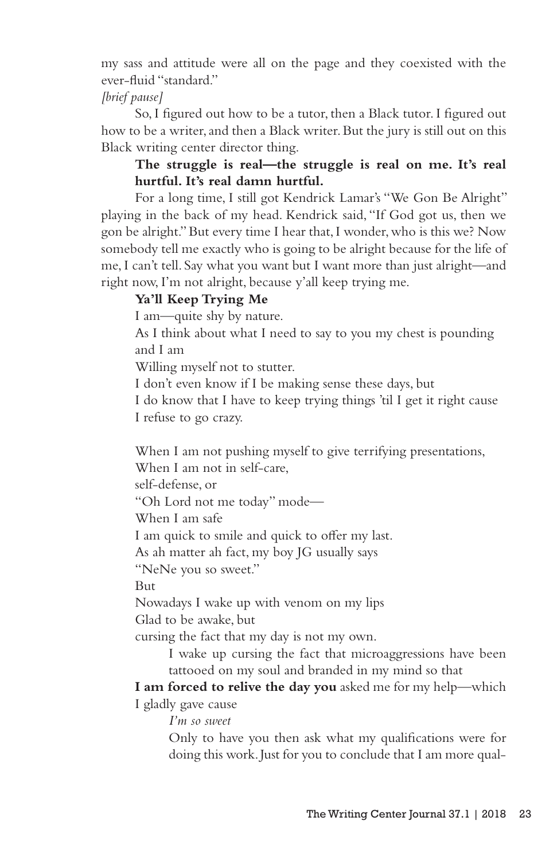my sass and attitude were all on the page and they coexisted with the ever-fluid "standard."

## *[brief pause]*

So, I figured out how to be a tutor, then a Black tutor. I figured out how to be a writer, and then a Black writer. But the jury is still out on this Black writing center director thing.

# **The struggle is real—the struggle is real on me. It's real hurtful. It's real damn hurtful.**

For a long time, I still got Kendrick Lamar's "We Gon Be Alright" playing in the back of my head. Kendrick said, "If God got us, then we gon be alright." But every time I hear that, I wonder, who is this we? Now somebody tell me exactly who is going to be alright because for the life of me, I can't tell. Say what you want but I want more than just alright—and right now, I'm not alright, because y'all keep trying me.

# **Ya'll Keep Trying Me**

I am—quite shy by nature.

As I think about what I need to say to you my chest is pounding and I am

Willing myself not to stutter.

I don't even know if I be making sense these days, but

I do know that I have to keep trying things 'til I get it right cause I refuse to go crazy.

When I am not pushing myself to give terrifying presentations,

When I am not in self-care,

self-defense, or

"Oh Lord not me today" mode—

When I am safe

I am quick to smile and quick to offer my last.

As ah matter ah fact, my boy JG usually says

"NeNe you so sweet."

But

Nowadays I wake up with venom on my lips

Glad to be awake, but

cursing the fact that my day is not my own.

I wake up cursing the fact that microaggressions have been tattooed on my soul and branded in my mind so that

**I am forced to relive the day you** asked me for my help—which I gladly gave cause

*I'm so sweet*

Only to have you then ask what my qualifications were for doing this work. Just for you to conclude that I am more qual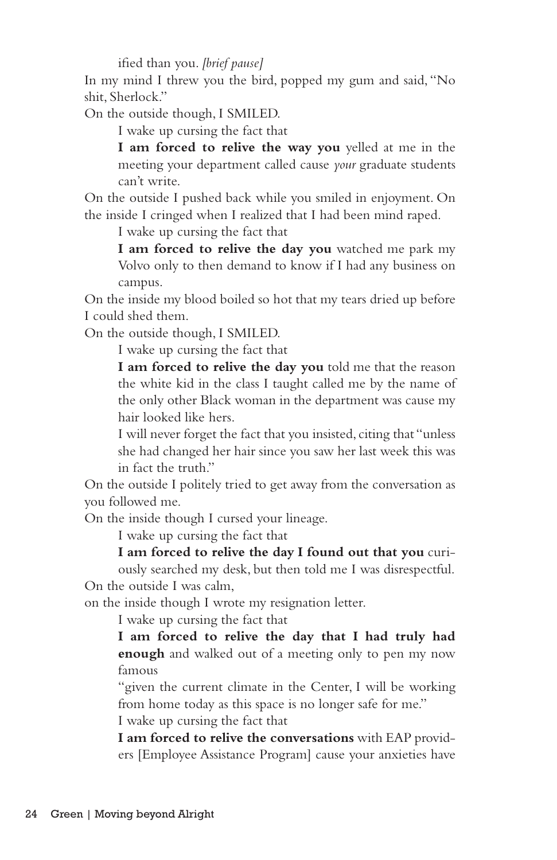ified than you. *[brief pause]*

In my mind I threw you the bird, popped my gum and said, "No shit, Sherlock."

On the outside though, I SMILED.

I wake up cursing the fact that

**I am forced to relive the way you** yelled at me in the meeting your department called cause *your* graduate students can't write.

On the outside I pushed back while you smiled in enjoyment. On the inside I cringed when I realized that I had been mind raped.

I wake up cursing the fact that

**I am forced to relive the day you** watched me park my Volvo only to then demand to know if I had any business on campus.

On the inside my blood boiled so hot that my tears dried up before I could shed them.

On the outside though, I SMILED.

I wake up cursing the fact that

**I am forced to relive the day you** told me that the reason the white kid in the class I taught called me by the name of the only other Black woman in the department was cause my hair looked like hers.

I will never forget the fact that you insisted, citing that "unless she had changed her hair since you saw her last week this was in fact the truth."

On the outside I politely tried to get away from the conversation as you followed me.

On the inside though I cursed your lineage.

I wake up cursing the fact that

**I am forced to relive the day I found out that you** curiously searched my desk, but then told me I was disrespectful.

On the outside I was calm,

on the inside though I wrote my resignation letter.

I wake up cursing the fact that

**I am forced to relive the day that I had truly had enough** and walked out of a meeting only to pen my now famous

"given the current climate in the Center, I will be working from home today as this space is no longer safe for me."

I wake up cursing the fact that

**I am forced to relive the conversations** with EAP providers [Employee Assistance Program] cause your anxieties have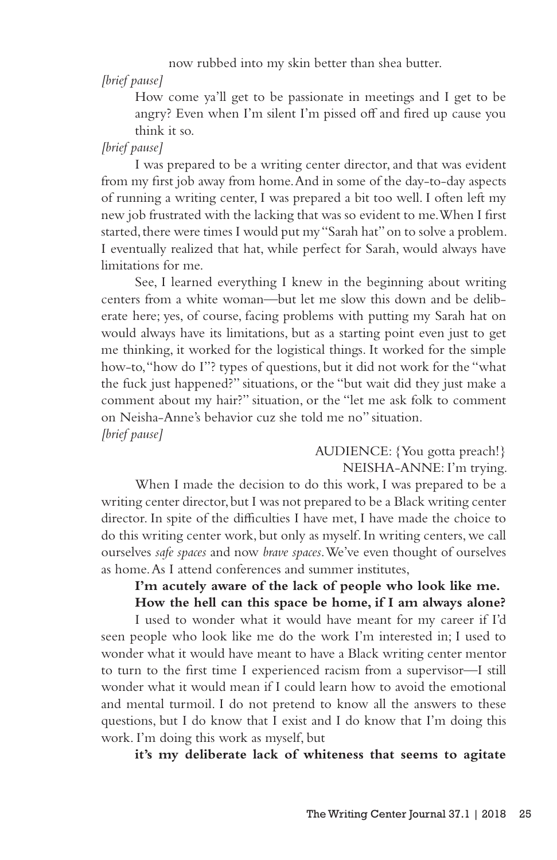now rubbed into my skin better than shea butter.

*[brief pause]*

How come ya'll get to be passionate in meetings and I get to be angry? Even when I'm silent I'm pissed off and fired up cause you think it so.

### *[brief pause]*

I was prepared to be a writing center director, and that was evident from my first job away from home. And in some of the day-to-day aspects of running a writing center, I was prepared a bit too well. I often left my new job frustrated with the lacking that was so evident to me. When I first started, there were times I would put my "Sarah hat" on to solve a problem. I eventually realized that hat, while perfect for Sarah, would always have limitations for me.

See, I learned everything I knew in the beginning about writing centers from a white woman—but let me slow this down and be deliberate here; yes, of course, facing problems with putting my Sarah hat on would always have its limitations, but as a starting point even just to get me thinking, it worked for the logistical things. It worked for the simple how-to, "how do I"? types of questions, but it did not work for the "what the fuck just happened?" situations, or the "but wait did they just make a comment about my hair?" situation, or the "let me ask folk to comment on Neisha-Anne's behavior cuz she told me no" situation. *[brief pause]*

### AUDIENCE: {You gotta preach!} NEISHA-ANNE: I'm trying.

When I made the decision to do this work, I was prepared to be a writing center director, but I was not prepared to be a Black writing center director. In spite of the difficulties I have met, I have made the choice to do this writing center work, but only as myself. In writing centers, we call ourselves *safe spaces* and now *brave spaces*. We've even thought of ourselves as home. As I attend conferences and summer institutes,

## **I'm acutely aware of the lack of people who look like me. How the hell can this space be home, if I am always alone?**

I used to wonder what it would have meant for my career if I'd seen people who look like me do the work I'm interested in; I used to wonder what it would have meant to have a Black writing center mentor to turn to the first time I experienced racism from a supervisor—I still wonder what it would mean if I could learn how to avoid the emotional and mental turmoil. I do not pretend to know all the answers to these questions, but I do know that I exist and I do know that I'm doing this work. I'm doing this work as myself, but

**it's my deliberate lack of whiteness that seems to agitate**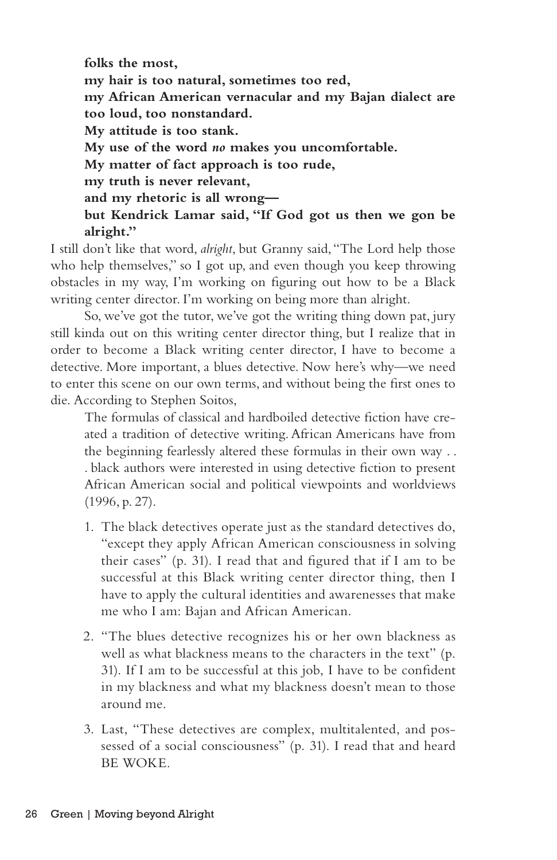**folks the most, my hair is too natural, sometimes too red, my African American vernacular and my Bajan dialect are too loud, too nonstandard. My attitude is too stank. My use of the word** *no* **makes you uncomfortable. My matter of fact approach is too rude, my truth is never relevant, and my rhetoric is all wrong but Kendrick Lamar said, "If God got us then we gon be alright."**

I still don't like that word, *alright*, but Granny said, "The Lord help those who help themselves," so I got up, and even though you keep throwing obstacles in my way, I'm working on figuring out how to be a Black writing center director. I'm working on being more than alright.

So, we've got the tutor, we've got the writing thing down pat, jury still kinda out on this writing center director thing, but I realize that in order to become a Black writing center director, I have to become a detective. More important, a blues detective. Now here's why—we need to enter this scene on our own terms, and without being the first ones to die. According to Stephen Soitos,

The formulas of classical and hardboiled detective fiction have created a tradition of detective writing. African Americans have from the beginning fearlessly altered these formulas in their own way . . . black authors were interested in using detective fiction to present African American social and political viewpoints and worldviews (1996, p. 27).

- 1. The black detectives operate just as the standard detectives do, "except they apply African American consciousness in solving their cases" (p. 31). I read that and figured that if I am to be successful at this Black writing center director thing, then I have to apply the cultural identities and awarenesses that make me who I am: Bajan and African American.
- 2. "The blues detective recognizes his or her own blackness as well as what blackness means to the characters in the text" (p. 31). If I am to be successful at this job, I have to be confident in my blackness and what my blackness doesn't mean to those around me.
- 3. Last, "These detectives are complex, multitalented, and possessed of a social consciousness" (p. 31). I read that and heard BE WOKE.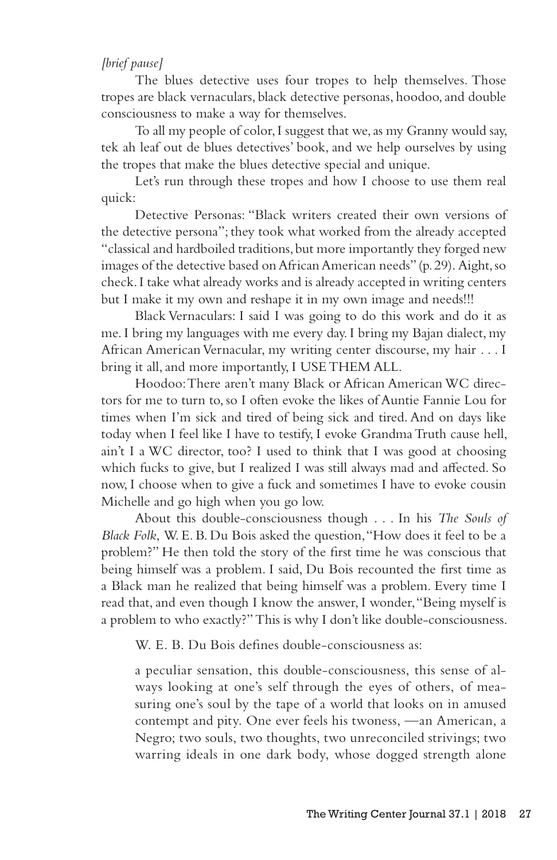### *[brief pause]*

The blues detective uses four tropes to help themselves. Those tropes are black vernaculars, black detective personas, hoodoo, and double consciousness to make a way for themselves.

To all my people of color, I suggest that we, as my Granny would say, tek ah leaf out de blues detectives' book, and we help ourselves by using the tropes that make the blues detective special and unique.

Let's run through these tropes and how I choose to use them real quick:

Detective Personas: "Black writers created their own versions of the detective persona"; they took what worked from the already accepted "classical and hardboiled traditions, but more importantly they forged new images of the detective based on African American needs" (p. 29). Aight, so check. I take what already works and is already accepted in writing centers but I make it my own and reshape it in my own image and needs!!!

Black Vernaculars: I said I was going to do this work and do it as me. I bring my languages with me every day. I bring my Bajan dialect, my African American Vernacular, my writing center discourse, my hair . . . I bring it all, and more importantly, I USE THEM ALL.

Hoodoo: There aren't many Black or African American WC directors for me to turn to, so I often evoke the likes of Auntie Fannie Lou for times when I'm sick and tired of being sick and tired. And on days like today when I feel like I have to testify, I evoke Grandma Truth cause hell, ain't I a WC director, too? I used to think that I was good at choosing which fucks to give, but I realized I was still always mad and affected. So now, I choose when to give a fuck and sometimes I have to evoke cousin Michelle and go high when you go low.

About this double-consciousness though . . . In his *The Souls of Black Folk*, W. E. B. Du Bois asked the question, "How does it feel to be a problem?" He then told the story of the first time he was conscious that being himself was a problem. I said, Du Bois recounted the first time as a Black man he realized that being himself was a problem. Every time I read that, and even though I know the answer, I wonder, "Being myself is a problem to who exactly?" This is why I don't like double-consciousness.

W. E. B. Du Bois defines double-consciousness as:

a peculiar sensation, this double-consciousness, this sense of always looking at one's self through the eyes of others, of measuring one's soul by the tape of a world that looks on in amused contempt and pity. One ever feels his twoness, —an American, a Negro; two souls, two thoughts, two unreconciled strivings; two warring ideals in one dark body, whose dogged strength alone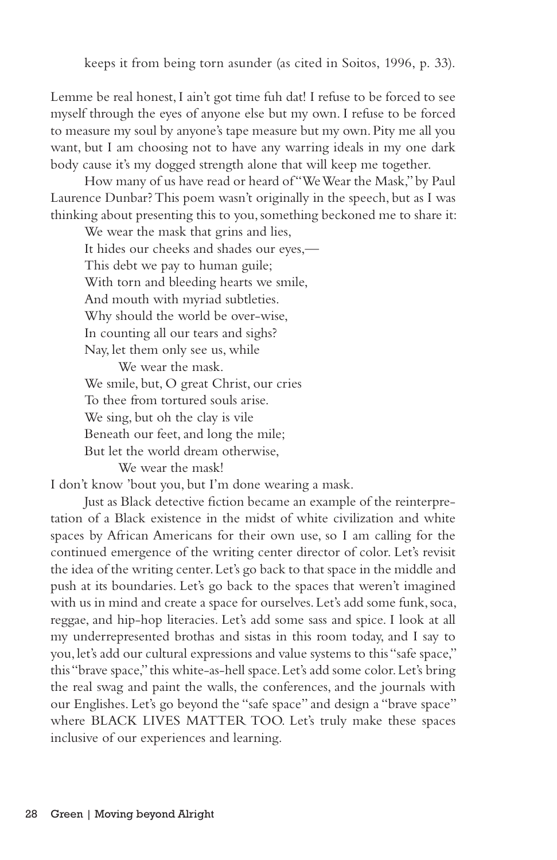keeps it from being torn asunder (as cited in Soitos, 1996, p. 33).

Lemme be real honest, I ain't got time fuh dat! I refuse to be forced to see myself through the eyes of anyone else but my own. I refuse to be forced to measure my soul by anyone's tape measure but my own. Pity me all you want, but I am choosing not to have any warring ideals in my one dark body cause it's my dogged strength alone that will keep me together.

How many of us have read or heard of "We Wear the Mask," by Paul Laurence Dunbar? This poem wasn't originally in the speech, but as I was thinking about presenting this to you, something beckoned me to share it:

We wear the mask that grins and lies, It hides our cheeks and shades our eyes,— This debt we pay to human guile; With torn and bleeding hearts we smile, And mouth with myriad subtleties. Why should the world be over-wise, In counting all our tears and sighs? Nay, let them only see us, while

We wear the mask. We smile, but, O great Christ, our cries To thee from tortured souls arise. We sing, but oh the clay is vile Beneath our feet, and long the mile; But let the world dream otherwise, We wear the mask!

I don't know 'bout you, but I'm done wearing a mask.

Just as Black detective fiction became an example of the reinterpretation of a Black existence in the midst of white civilization and white spaces by African Americans for their own use, so I am calling for the continued emergence of the writing center director of color. Let's revisit the idea of the writing center. Let's go back to that space in the middle and push at its boundaries. Let's go back to the spaces that weren't imagined with us in mind and create a space for ourselves. Let's add some funk, soca, reggae, and hip-hop literacies. Let's add some sass and spice. I look at all my underrepresented brothas and sistas in this room today, and I say to you, let's add our cultural expressions and value systems to this "safe space," this "brave space," this white-as-hell space. Let's add some color. Let's bring the real swag and paint the walls, the conferences, and the journals with our Englishes. Let's go beyond the "safe space" and design a "brave space" where BLACK LIVES MATTER TOO. Let's truly make these spaces inclusive of our experiences and learning.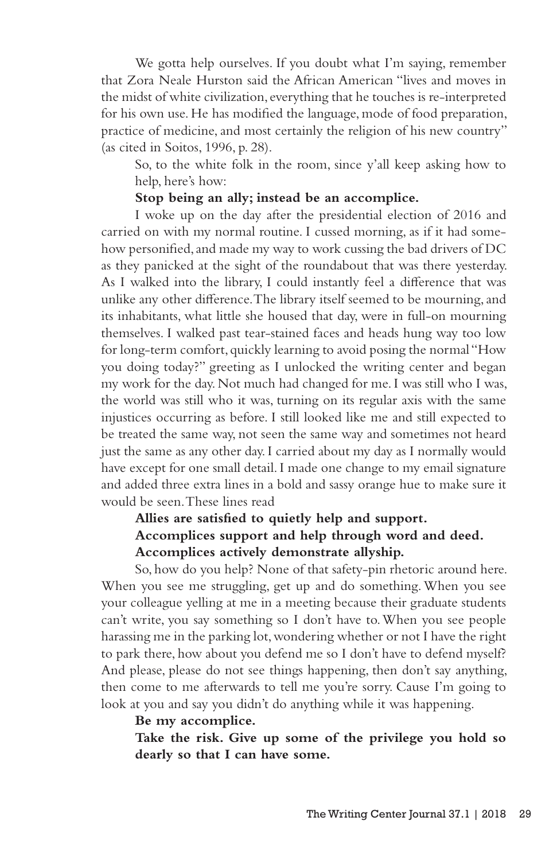We gotta help ourselves. If you doubt what I'm saying, remember that Zora Neale Hurston said the African American "lives and moves in the midst of white civilization, everything that he touches is re-interpreted for his own use. He has modified the language, mode of food preparation, practice of medicine, and most certainly the religion of his new country" (as cited in Soitos, 1996, p. 28).

So, to the white folk in the room, since y'all keep asking how to help, here's how:

### **Stop being an ally; instead be an accomplice.**

I woke up on the day after the presidential election of 2016 and carried on with my normal routine. I cussed morning, as if it had somehow personified, and made my way to work cussing the bad drivers of DC as they panicked at the sight of the roundabout that was there yesterday. As I walked into the library, I could instantly feel a difference that was unlike any other difference. The library itself seemed to be mourning, and its inhabitants, what little she housed that day, were in full-on mourning themselves. I walked past tear-stained faces and heads hung way too low for long-term comfort, quickly learning to avoid posing the normal "How you doing today?" greeting as I unlocked the writing center and began my work for the day. Not much had changed for me. I was still who I was, the world was still who it was, turning on its regular axis with the same injustices occurring as before. I still looked like me and still expected to be treated the same way, not seen the same way and sometimes not heard just the same as any other day. I carried about my day as I normally would have except for one small detail. I made one change to my email signature and added three extra lines in a bold and sassy orange hue to make sure it would be seen. These lines read

# **Allies are satisfied to quietly help and support. Accomplices support and help through word and deed. Accomplices actively demonstrate allyship.**

So, how do you help? None of that safety-pin rhetoric around here. When you see me struggling, get up and do something. When you see your colleague yelling at me in a meeting because their graduate students can't write, you say something so I don't have to. When you see people harassing me in the parking lot, wondering whether or not I have the right to park there, how about you defend me so I don't have to defend myself? And please, please do not see things happening, then don't say anything, then come to me afterwards to tell me you're sorry. Cause I'm going to look at you and say you didn't do anything while it was happening.

### **Be my accomplice.**

**Take the risk. Give up some of the privilege you hold so dearly so that I can have some.**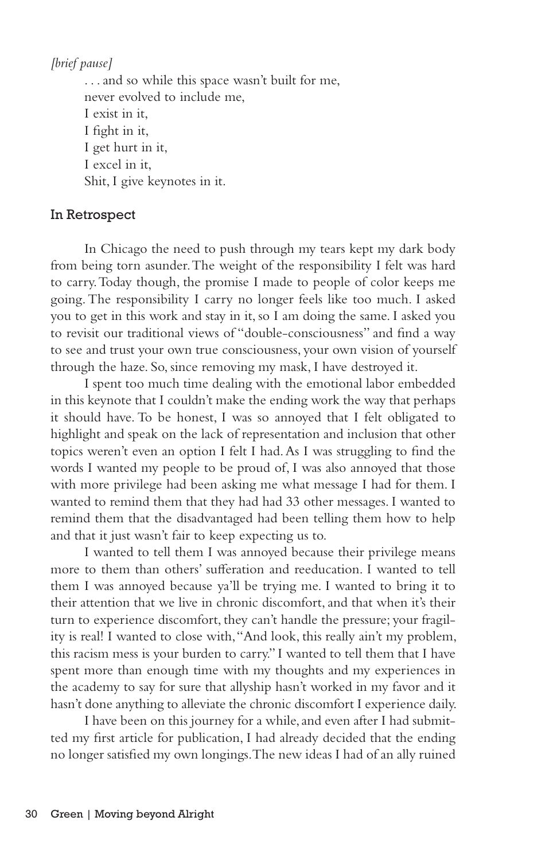*[brief pause]*

. . . and so while this space wasn't built for me, never evolved to include me, I exist in it, I fight in it, I get hurt in it, I excel in it, Shit, I give keynotes in it.

### In Retrospect

In Chicago the need to push through my tears kept my dark body from being torn asunder. The weight of the responsibility I felt was hard to carry. Today though, the promise I made to people of color keeps me going. The responsibility I carry no longer feels like too much. I asked you to get in this work and stay in it, so I am doing the same. I asked you to revisit our traditional views of "double-consciousness" and find a way to see and trust your own true consciousness, your own vision of yourself through the haze. So, since removing my mask, I have destroyed it.

I spent too much time dealing with the emotional labor embedded in this keynote that I couldn't make the ending work the way that perhaps it should have. To be honest, I was so annoyed that I felt obligated to highlight and speak on the lack of representation and inclusion that other topics weren't even an option I felt I had. As I was struggling to find the words I wanted my people to be proud of, I was also annoyed that those with more privilege had been asking me what message I had for them. I wanted to remind them that they had had 33 other messages. I wanted to remind them that the disadvantaged had been telling them how to help and that it just wasn't fair to keep expecting us to.

I wanted to tell them I was annoyed because their privilege means more to them than others' sufferation and reeducation. I wanted to tell them I was annoyed because ya'll be trying me. I wanted to bring it to their attention that we live in chronic discomfort, and that when it's their turn to experience discomfort, they can't handle the pressure; your fragility is real! I wanted to close with, "And look, this really ain't my problem, this racism mess is your burden to carry." I wanted to tell them that I have spent more than enough time with my thoughts and my experiences in the academy to say for sure that allyship hasn't worked in my favor and it hasn't done anything to alleviate the chronic discomfort I experience daily.

I have been on this journey for a while, and even after I had submitted my first article for publication, I had already decided that the ending no longer satisfied my own longings. The new ideas I had of an ally ruined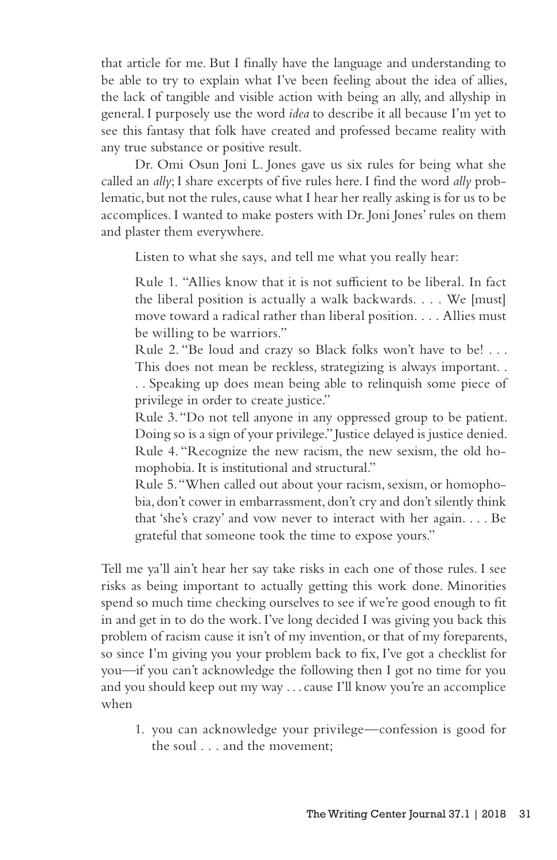that article for me. But I finally have the language and understanding to be able to try to explain what I've been feeling about the idea of allies, the lack of tangible and visible action with being an ally, and allyship in general. I purposely use the word *idea* to describe it all because I'm yet to see this fantasy that folk have created and professed became reality with any true substance or positive result.

Dr. Omi Osun Joni L. Jones gave us six rules for being what she called an *ally*; I share excerpts of five rules here. I find the word *ally* problematic, but not the rules, cause what I hear her really asking is for us to be accomplices. I wanted to make posters with Dr. Joni Jones' rules on them and plaster them everywhere.

Listen to what she says, and tell me what you really hear:

Rule 1. "Allies know that it is not sufficient to be liberal. In fact the liberal position is actually a walk backwards. . . . We [must] move toward a radical rather than liberal position. . . . Allies must be willing to be warriors."

Rule 2. "Be loud and crazy so Black folks won't have to be! . . . This does not mean be reckless, strategizing is always important. . . . Speaking up does mean being able to relinquish some piece of

privilege in order to create justice."

Rule 3. "Do not tell anyone in any oppressed group to be patient. Doing so is a sign of your privilege." Justice delayed is justice denied. Rule 4. "Recognize the new racism, the new sexism, the old homophobia. It is institutional and structural."

Rule 5. "When called out about your racism, sexism, or homophobia, don't cower in embarrassment, don't cry and don't silently think that 'she's crazy' and vow never to interact with her again. . . . Be grateful that someone took the time to expose yours."

Tell me ya'll ain't hear her say take risks in each one of those rules. I see risks as being important to actually getting this work done. Minorities spend so much time checking ourselves to see if we're good enough to fit in and get in to do the work. I've long decided I was giving you back this problem of racism cause it isn't of my invention, or that of my foreparents, so since I'm giving you your problem back to fix, I've got a checklist for you—if you can't acknowledge the following then I got no time for you and you should keep out my way . . . cause I'll know you're an accomplice when

1. you can acknowledge your privilege—confession is good for the soul . . . and the movement;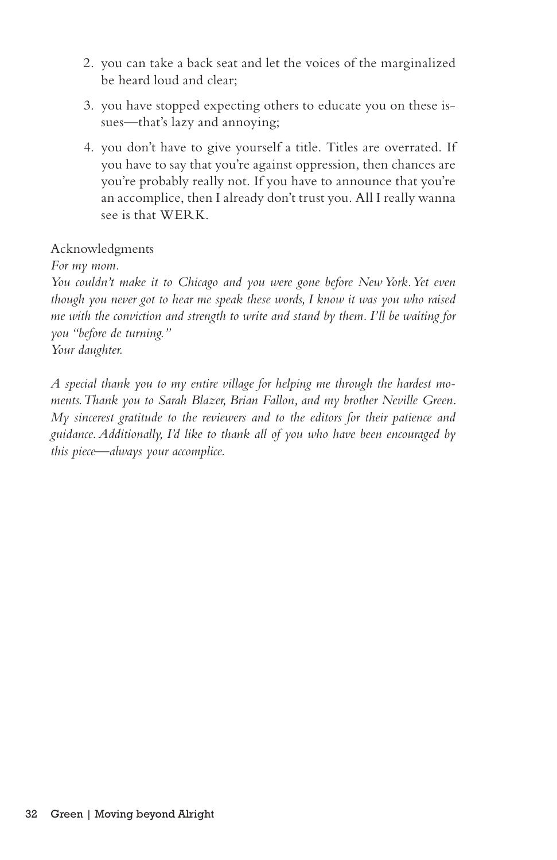- 2. you can take a back seat and let the voices of the marginalized be heard loud and clear;
- 3. you have stopped expecting others to educate you on these issues—that's lazy and annoying;
- 4. you don't have to give yourself a title. Titles are overrated. If you have to say that you're against oppression, then chances are you're probably really not. If you have to announce that you're an accomplice, then I already don't trust you. All I really wanna see is that WERK.

# Acknowledgments

*For my mom.*

*You couldn't make it to Chicago and you were gone before New York. Yet even though you never got to hear me speak these words, I know it was you who raised me with the conviction and strength to write and stand by them. I'll be waiting for you "before de turning." Your daughter.*

*A special thank you to my entire village for helping me through the hardest moments. Thank you to Sarah Blazer, Brian Fallon, and my brother Neville Green. My sincerest gratitude to the reviewers and to the editors for their patience and guidance. Additionally, I'd like to thank all of you who have been encouraged by this piece—always your accomplice.*